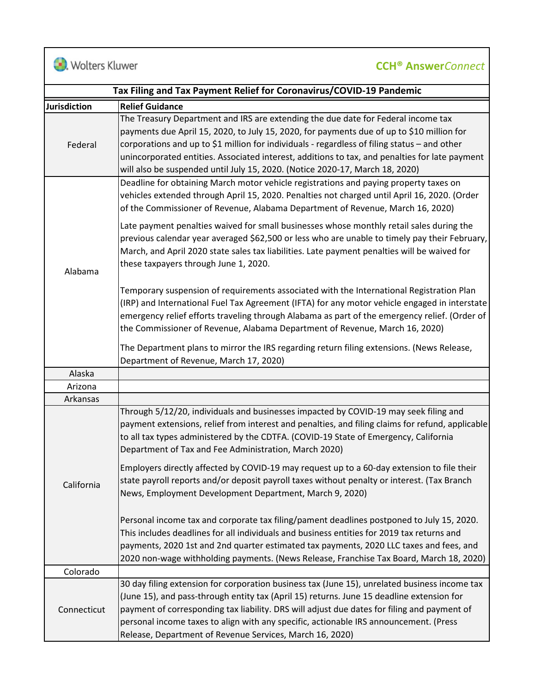**D.** Wolters Kluwer

## **CCH® Answer***Connect*

| Tax Filing and Tax Payment Relief for Coronavirus/COVID-19 Pandemic |                                                                                                                                                                                                                                                                                                                                                                                                                                                                  |  |
|---------------------------------------------------------------------|------------------------------------------------------------------------------------------------------------------------------------------------------------------------------------------------------------------------------------------------------------------------------------------------------------------------------------------------------------------------------------------------------------------------------------------------------------------|--|
| <b>Jurisdiction</b>                                                 | <b>Relief Guidance</b>                                                                                                                                                                                                                                                                                                                                                                                                                                           |  |
| Federal                                                             | The Treasury Department and IRS are extending the due date for Federal income tax<br>payments due April 15, 2020, to July 15, 2020, for payments due of up to \$10 million for<br>corporations and up to \$1 million for individuals - regardless of filing status - and other<br>unincorporated entities. Associated interest, additions to tax, and penalties for late payment<br>will also be suspended until July 15, 2020. (Notice 2020-17, March 18, 2020) |  |
| Alabama                                                             | Deadline for obtaining March motor vehicle registrations and paying property taxes on<br>vehicles extended through April 15, 2020. Penalties not charged until April 16, 2020. (Order<br>of the Commissioner of Revenue, Alabama Department of Revenue, March 16, 2020)                                                                                                                                                                                          |  |
|                                                                     | Late payment penalties waived for small businesses whose monthly retail sales during the<br>previous calendar year averaged \$62,500 or less who are unable to timely pay their February,<br>March, and April 2020 state sales tax liabilities. Late payment penalties will be waived for<br>these taxpayers through June 1, 2020.                                                                                                                               |  |
|                                                                     | Temporary suspension of requirements associated with the International Registration Plan<br>(IRP) and International Fuel Tax Agreement (IFTA) for any motor vehicle engaged in interstate<br>emergency relief efforts traveling through Alabama as part of the emergency relief. (Order of<br>the Commissioner of Revenue, Alabama Department of Revenue, March 16, 2020)                                                                                        |  |
|                                                                     | The Department plans to mirror the IRS regarding return filing extensions. (News Release,<br>Department of Revenue, March 17, 2020)                                                                                                                                                                                                                                                                                                                              |  |
| Alaska                                                              |                                                                                                                                                                                                                                                                                                                                                                                                                                                                  |  |
| Arizona                                                             |                                                                                                                                                                                                                                                                                                                                                                                                                                                                  |  |
| Arkansas                                                            |                                                                                                                                                                                                                                                                                                                                                                                                                                                                  |  |
| California                                                          | Through 5/12/20, individuals and businesses impacted by COVID-19 may seek filing and<br>payment extensions, relief from interest and penalties, and filing claims for refund, applicable<br>to all tax types administered by the CDTFA. (COVID-19 State of Emergency, California<br>Department of Tax and Fee Administration, March 2020)                                                                                                                        |  |
|                                                                     | Employers directly affected by COVID-19 may request up to a 60-day extension to file their<br>state payroll reports and/or deposit payroll taxes without penalty or interest. (Tax Branch<br>News, Employment Development Department, March 9, 2020)                                                                                                                                                                                                             |  |
|                                                                     | Personal income tax and corporate tax filing/pament deadlines postponed to July 15, 2020.<br>This includes deadlines for all individuals and business entities for 2019 tax returns and<br>payments, 2020 1st and 2nd quarter estimated tax payments, 2020 LLC taxes and fees, and<br>2020 non-wage withholding payments. (News Release, Franchise Tax Board, March 18, 2020)                                                                                    |  |
| Colorado                                                            |                                                                                                                                                                                                                                                                                                                                                                                                                                                                  |  |
| Connecticut                                                         | 30 day filing extension for corporation business tax (June 15), unrelated business income tax<br>(June 15), and pass-through entity tax (April 15) returns. June 15 deadline extension for<br>payment of corresponding tax liability. DRS will adjust due dates for filing and payment of<br>personal income taxes to align with any specific, actionable IRS announcement. (Press<br>Release, Department of Revenue Services, March 16, 2020)                   |  |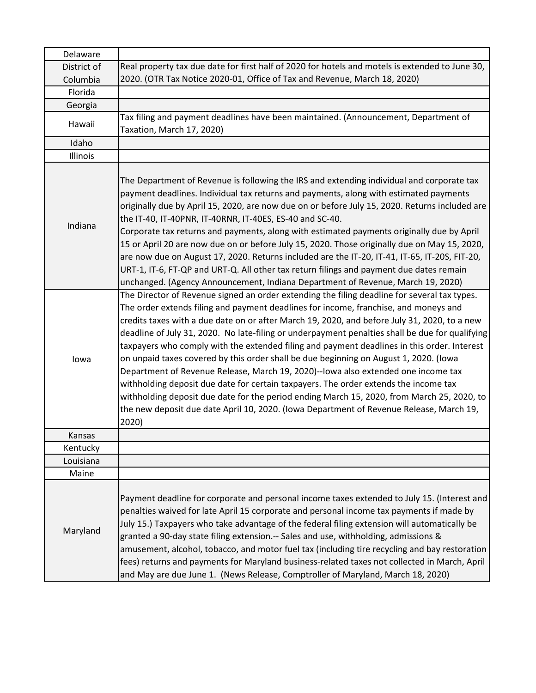| Delaware    |                                                                                                                                                                                                                                                                                                                                                                                                                                                                                                                                                                                                                                                                                                                                                                                                                                                                                                                                                                |
|-------------|----------------------------------------------------------------------------------------------------------------------------------------------------------------------------------------------------------------------------------------------------------------------------------------------------------------------------------------------------------------------------------------------------------------------------------------------------------------------------------------------------------------------------------------------------------------------------------------------------------------------------------------------------------------------------------------------------------------------------------------------------------------------------------------------------------------------------------------------------------------------------------------------------------------------------------------------------------------|
| District of | Real property tax due date for first half of 2020 for hotels and motels is extended to June 30,                                                                                                                                                                                                                                                                                                                                                                                                                                                                                                                                                                                                                                                                                                                                                                                                                                                                |
| Columbia    | 2020. (OTR Tax Notice 2020-01, Office of Tax and Revenue, March 18, 2020)                                                                                                                                                                                                                                                                                                                                                                                                                                                                                                                                                                                                                                                                                                                                                                                                                                                                                      |
| Florida     |                                                                                                                                                                                                                                                                                                                                                                                                                                                                                                                                                                                                                                                                                                                                                                                                                                                                                                                                                                |
| Georgia     |                                                                                                                                                                                                                                                                                                                                                                                                                                                                                                                                                                                                                                                                                                                                                                                                                                                                                                                                                                |
| Hawaii      | Tax filing and payment deadlines have been maintained. (Announcement, Department of<br>Taxation, March 17, 2020)                                                                                                                                                                                                                                                                                                                                                                                                                                                                                                                                                                                                                                                                                                                                                                                                                                               |
| Idaho       |                                                                                                                                                                                                                                                                                                                                                                                                                                                                                                                                                                                                                                                                                                                                                                                                                                                                                                                                                                |
| Illinois    |                                                                                                                                                                                                                                                                                                                                                                                                                                                                                                                                                                                                                                                                                                                                                                                                                                                                                                                                                                |
| Indiana     | The Department of Revenue is following the IRS and extending individual and corporate tax<br>payment deadlines. Individual tax returns and payments, along with estimated payments<br>originally due by April 15, 2020, are now due on or before July 15, 2020. Returns included are<br>the IT-40, IT-40PNR, IT-40RNR, IT-40ES, ES-40 and SC-40.<br>Corporate tax returns and payments, along with estimated payments originally due by April<br>15 or April 20 are now due on or before July 15, 2020. Those originally due on May 15, 2020,<br>are now due on August 17, 2020. Returns included are the IT-20, IT-41, IT-65, IT-20S, FIT-20,<br>URT-1, IT-6, FT-QP and URT-Q. All other tax return filings and payment due dates remain<br>unchanged. (Agency Announcement, Indiana Department of Revenue, March 19, 2020)                                                                                                                                   |
| lowa        | The Director of Revenue signed an order extending the filing deadline for several tax types.<br>The order extends filing and payment deadlines for income, franchise, and moneys and<br>credits taxes with a due date on or after March 19, 2020, and before July 31, 2020, to a new<br>deadline of July 31, 2020. No late-filing or underpayment penalties shall be due for qualifying<br>taxpayers who comply with the extended filing and payment deadlines in this order. Interest<br>on unpaid taxes covered by this order shall be due beginning on August 1, 2020. (Iowa<br>Department of Revenue Release, March 19, 2020)--lowa also extended one income tax<br>withholding deposit due date for certain taxpayers. The order extends the income tax<br>withholding deposit due date for the period ending March 15, 2020, from March 25, 2020, to<br>the new deposit due date April 10, 2020. (Iowa Department of Revenue Release, March 19,<br>2020) |
| Kansas      |                                                                                                                                                                                                                                                                                                                                                                                                                                                                                                                                                                                                                                                                                                                                                                                                                                                                                                                                                                |
| Kentucky    |                                                                                                                                                                                                                                                                                                                                                                                                                                                                                                                                                                                                                                                                                                                                                                                                                                                                                                                                                                |
| Louisiana   |                                                                                                                                                                                                                                                                                                                                                                                                                                                                                                                                                                                                                                                                                                                                                                                                                                                                                                                                                                |
| Maine       |                                                                                                                                                                                                                                                                                                                                                                                                                                                                                                                                                                                                                                                                                                                                                                                                                                                                                                                                                                |
| Maryland    | Payment deadline for corporate and personal income taxes extended to July 15. (Interest and<br>penalties waived for late April 15 corporate and personal income tax payments if made by<br>July 15.) Taxpayers who take advantage of the federal filing extension will automatically be<br>granted a 90-day state filing extension.-- Sales and use, withholding, admissions &<br>amusement, alcohol, tobacco, and motor fuel tax (including tire recycling and bay restoration<br>fees) returns and payments for Maryland business-related taxes not collected in March, April<br>and May are due June 1. (News Release, Comptroller of Maryland, March 18, 2020)                                                                                                                                                                                                                                                                                             |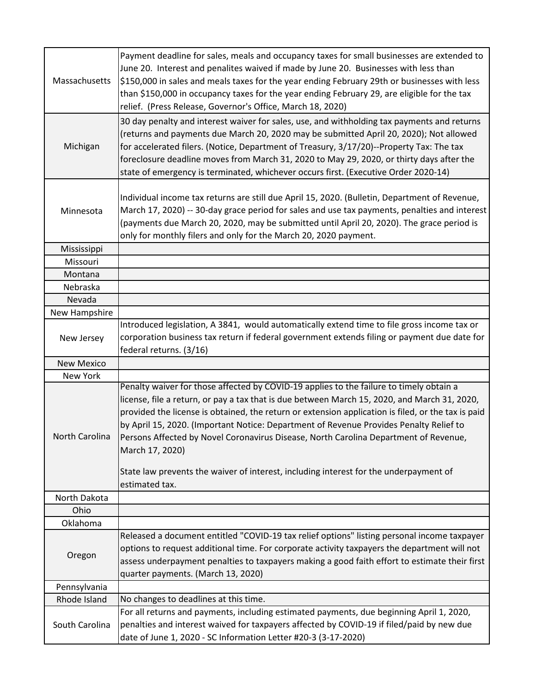| Massachusetts     | Payment deadline for sales, meals and occupancy taxes for small businesses are extended to<br>June 20. Interest and penalites waived if made by June 20. Businesses with less than<br>\$150,000 in sales and meals taxes for the year ending February 29th or businesses with less<br>than \$150,000 in occupancy taxes for the year ending February 29, are eligible for the tax<br>relief. (Press Release, Governor's Office, March 18, 2020)                                                                                                                                                               |
|-------------------|---------------------------------------------------------------------------------------------------------------------------------------------------------------------------------------------------------------------------------------------------------------------------------------------------------------------------------------------------------------------------------------------------------------------------------------------------------------------------------------------------------------------------------------------------------------------------------------------------------------|
| Michigan          | 30 day penalty and interest waiver for sales, use, and withholding tax payments and returns<br>(returns and payments due March 20, 2020 may be submitted April 20, 2020); Not allowed<br>for accelerated filers. (Notice, Department of Treasury, 3/17/20)--Property Tax: The tax<br>foreclosure deadline moves from March 31, 2020 to May 29, 2020, or thirty days after the<br>state of emergency is terminated, whichever occurs first. (Executive Order 2020-14)                                                                                                                                          |
| Minnesota         | Individual income tax returns are still due April 15, 2020. (Bulletin, Department of Revenue,<br>March 17, 2020) -- 30-day grace period for sales and use tax payments, penalties and interest<br>(payments due March 20, 2020, may be submitted until April 20, 2020). The grace period is<br>only for monthly filers and only for the March 20, 2020 payment.                                                                                                                                                                                                                                               |
| Mississippi       |                                                                                                                                                                                                                                                                                                                                                                                                                                                                                                                                                                                                               |
| Missouri          |                                                                                                                                                                                                                                                                                                                                                                                                                                                                                                                                                                                                               |
| Montana           |                                                                                                                                                                                                                                                                                                                                                                                                                                                                                                                                                                                                               |
| Nebraska          |                                                                                                                                                                                                                                                                                                                                                                                                                                                                                                                                                                                                               |
| Nevada            |                                                                                                                                                                                                                                                                                                                                                                                                                                                                                                                                                                                                               |
| New Hampshire     |                                                                                                                                                                                                                                                                                                                                                                                                                                                                                                                                                                                                               |
| New Jersey        | Introduced legislation, A 3841, would automatically extend time to file gross income tax or<br>corporation business tax return if federal government extends filing or payment due date for<br>federal returns. (3/16)                                                                                                                                                                                                                                                                                                                                                                                        |
| <b>New Mexico</b> |                                                                                                                                                                                                                                                                                                                                                                                                                                                                                                                                                                                                               |
| New York          |                                                                                                                                                                                                                                                                                                                                                                                                                                                                                                                                                                                                               |
| North Carolina    | Penalty waiver for those affected by COVID-19 applies to the failure to timely obtain a<br>license, file a return, or pay a tax that is due between March 15, 2020, and March 31, 2020,<br>provided the license is obtained, the return or extension application is filed, or the tax is paid<br>by April 15, 2020. (Important Notice: Department of Revenue Provides Penalty Relief to<br>Persons Affected by Novel Coronavirus Disease, North Carolina Department of Revenue,<br>March 17, 2020)<br>State law prevents the waiver of interest, including interest for the underpayment of<br>estimated tax. |
| North Dakota      |                                                                                                                                                                                                                                                                                                                                                                                                                                                                                                                                                                                                               |
| Ohio              |                                                                                                                                                                                                                                                                                                                                                                                                                                                                                                                                                                                                               |
| Oklahoma          |                                                                                                                                                                                                                                                                                                                                                                                                                                                                                                                                                                                                               |
| Oregon            | Released a document entitled "COVID-19 tax relief options" listing personal income taxpayer<br>options to request additional time. For corporate activity taxpayers the department will not<br>assess underpayment penalties to taxpayers making a good faith effort to estimate their first<br>quarter payments. (March 13, 2020)                                                                                                                                                                                                                                                                            |
| Pennsylvania      |                                                                                                                                                                                                                                                                                                                                                                                                                                                                                                                                                                                                               |
| Rhode Island      | No changes to deadlines at this time.                                                                                                                                                                                                                                                                                                                                                                                                                                                                                                                                                                         |
| South Carolina    | For all returns and payments, including estimated payments, due beginning April 1, 2020,<br>penalties and interest waived for taxpayers affected by COVID-19 if filed/paid by new due<br>date of June 1, 2020 - SC Information Letter #20-3 (3-17-2020)                                                                                                                                                                                                                                                                                                                                                       |